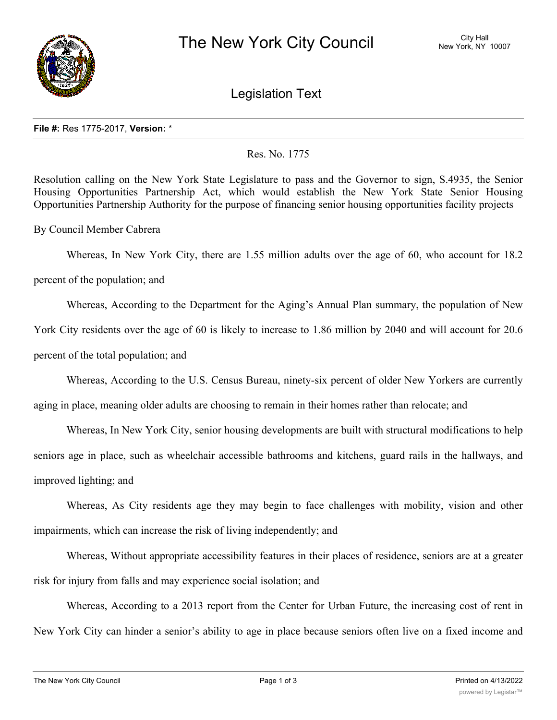

Legislation Text

## **File #:** Res 1775-2017, **Version:** \*

## Res. No. 1775

Resolution calling on the New York State Legislature to pass and the Governor to sign, S.4935, the Senior Housing Opportunities Partnership Act, which would establish the New York State Senior Housing Opportunities Partnership Authority for the purpose of financing senior housing opportunities facility projects

By Council Member Cabrera

Whereas, In New York City, there are 1.55 million adults over the age of 60, who account for 18.2

percent of the population; and

Whereas, According to the Department for the Aging's Annual Plan summary, the population of New

York City residents over the age of 60 is likely to increase to 1.86 million by 2040 and will account for 20.6

percent of the total population; and

Whereas, According to the U.S. Census Bureau, ninety-six percent of older New Yorkers are currently

aging in place, meaning older adults are choosing to remain in their homes rather than relocate; and

Whereas, In New York City, senior housing developments are built with structural modifications to help seniors age in place, such as wheelchair accessible bathrooms and kitchens, guard rails in the hallways, and improved lighting; and

Whereas, As City residents age they may begin to face challenges with mobility, vision and other impairments, which can increase the risk of living independently; and

Whereas, Without appropriate accessibility features in their places of residence, seniors are at a greater risk for injury from falls and may experience social isolation; and

Whereas, According to a 2013 report from the Center for Urban Future, the increasing cost of rent in New York City can hinder a senior's ability to age in place because seniors often live on a fixed income and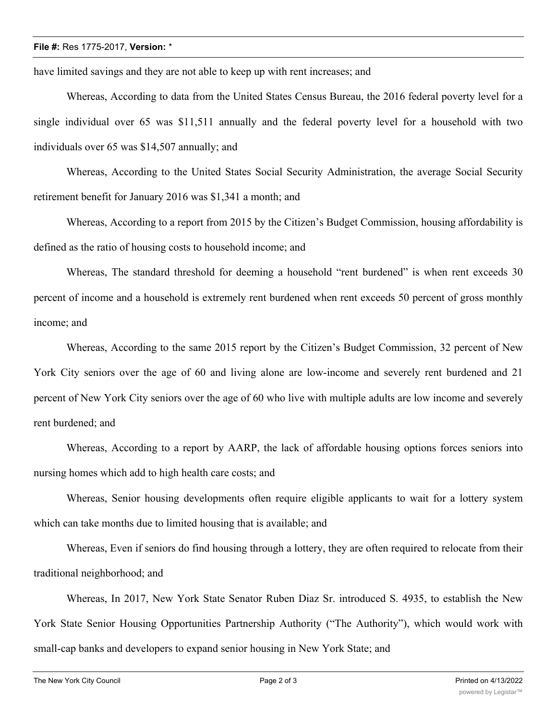## **File #:** Res 1775-2017, **Version:** \*

have limited savings and they are not able to keep up with rent increases; and

Whereas, According to data from the United States Census Bureau, the 2016 federal poverty level for a single individual over 65 was \$11,511 annually and the federal poverty level for a household with two individuals over 65 was \$14,507 annually; and

Whereas, According to the United States Social Security Administration, the average Social Security retirement benefit for January 2016 was \$1,341 a month; and

Whereas, According to a report from 2015 by the Citizen's Budget Commission, housing affordability is defined as the ratio of housing costs to household income; and

Whereas, The standard threshold for deeming a household "rent burdened" is when rent exceeds 30 percent of income and a household is extremely rent burdened when rent exceeds 50 percent of gross monthly income; and

Whereas, According to the same 2015 report by the Citizen's Budget Commission, 32 percent of New York City seniors over the age of 60 and living alone are low-income and severely rent burdened and 21 percent of New York City seniors over the age of 60 who live with multiple adults are low income and severely rent burdened; and

Whereas, According to a report by AARP, the lack of affordable housing options forces seniors into nursing homes which add to high health care costs; and

Whereas, Senior housing developments often require eligible applicants to wait for a lottery system which can take months due to limited housing that is available; and

Whereas, Even if seniors do find housing through a lottery, they are often required to relocate from their traditional neighborhood; and

Whereas, In 2017, New York State Senator Ruben Diaz Sr. introduced S. 4935, to establish the New York State Senior Housing Opportunities Partnership Authority ("The Authority"), which would work with small-cap banks and developers to expand senior housing in New York State; and